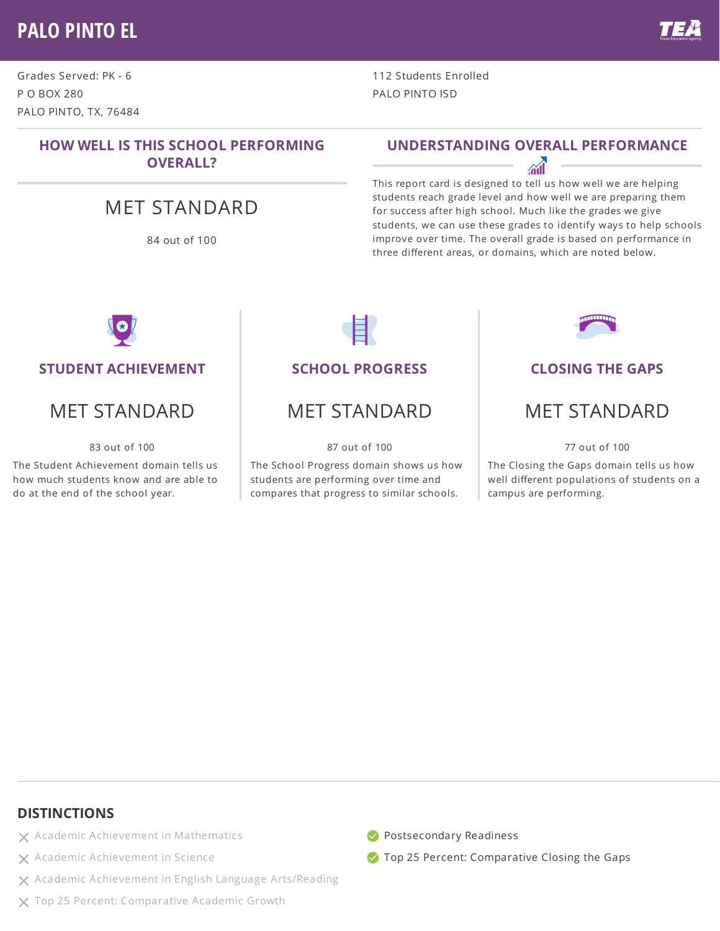## **PALO PINTO EL**

Grades Served: PK - 6 P O BOX 280 PALO PINTO, TX, 76484

> **HOW WELL IS THIS SCHOOL PERFORMING OVERALL?**

## MET STANDARD

84 out of 100

#### **UNDERSTANDING OVERALL PERFORMANCE**

112 Students Enrolled

PALO PINTO ISD

This report card is designed to tell us how well we are helping students reach grade level and how well we are preparing them for success after high school. Much like the grades we give students, we can use these grades to identify ways to help schools improve over time. The overall grade is based on performance in three different areas, or domains, which are noted below.



#### **STUDENT ACHIEVEMENT**

## MET STANDARD

83 out of 100

The Student Achievement domain tells us how much students know and are able to do at the end of the school year.

#### **SCHOOL PROGRESS**

### MET STANDARD

87 out of 100

The School Progress domain shows us how students are performing over time and compares that progress to similar schools.



#### **CLOSING THE GAPS**

### MET STANDARD

77 out of 100

The Closing the Gaps domain tells us how well different populations of students on a campus are performing.

#### **DISTINCTIONS**

- $\times$  Academic Achievement in Mathematics
- X Academic Achievement in Science
- Academic Achievement in English Language Arts/Reading
- X Top 25 Percent: Comparative Academic Growth



**Top 25 Percent: Comparative Closing the Gaps**